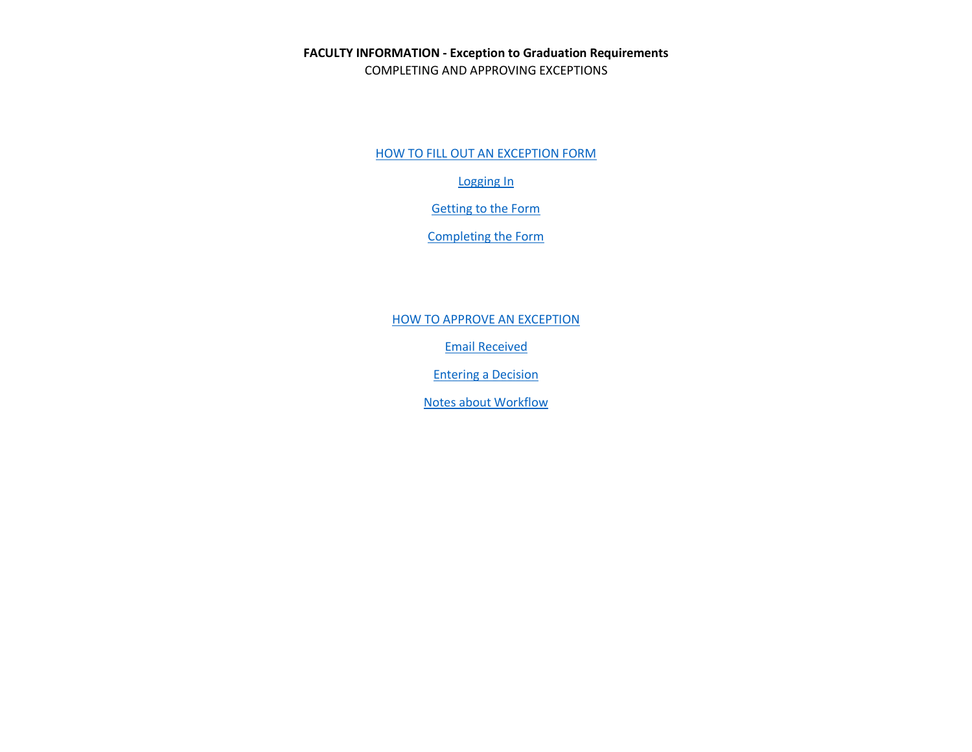**FACULTY INFORMATION - Exception to Graduation Requirements** COMPLETING AND APPROVING EXCEPTIONS

HOW TO FILL [OUT AN EXCEPTION FORM](#page-1-0)

[Logging In](#page-1-1)

[Getting to the Form](#page-1-2)

[Completing the Form](#page-3-0)

**[HOW TO APPROVE AN EXCEPTION](#page-5-0)** 

[Email Received](#page-5-1)

[Entering a Decision](#page-6-0)

[Notes about Workflow](#page-8-0)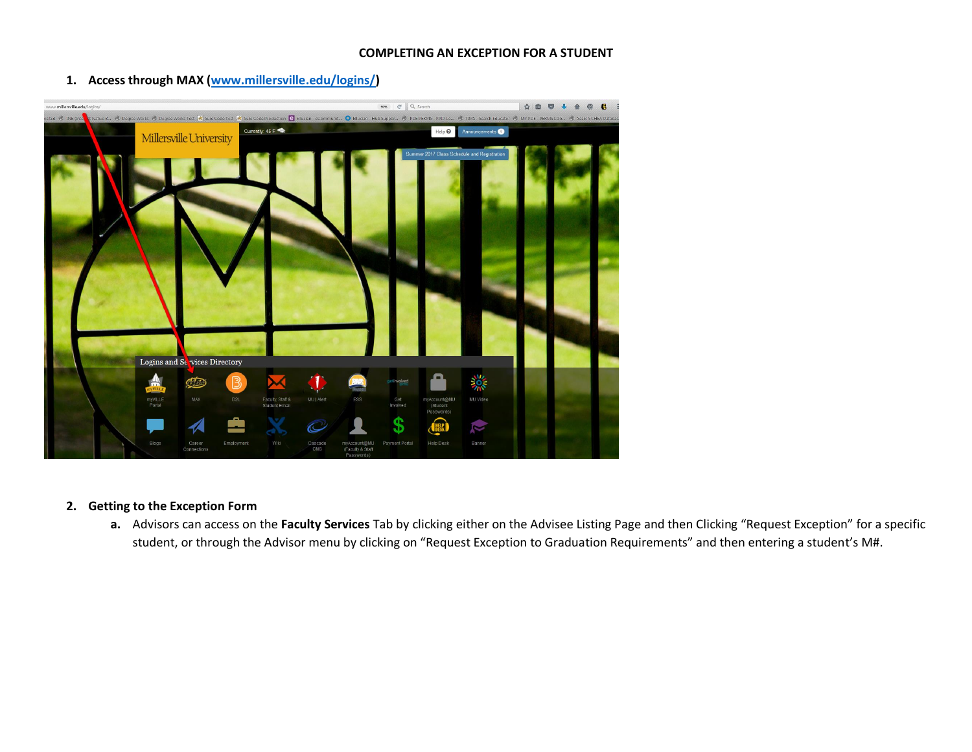### **COMPLETING AN EXCEPTION FOR A STUDENT**

<span id="page-1-1"></span>

<span id="page-1-0"></span>**1. Access through MAX [\(www.millersville.edu/logins/\)](http://www.millersville.edu/logins/)**

## <span id="page-1-2"></span>**2. Getting to the Exception Form**

**a.** Advisors can access on the **Faculty Services** Tab by clicking either on the Advisee Listing Page and then Clicking "Request Exception" for a specific student, or through the Advisor menu by clicking on "Request Exception to Graduation Requirements" and then entering a student's M#.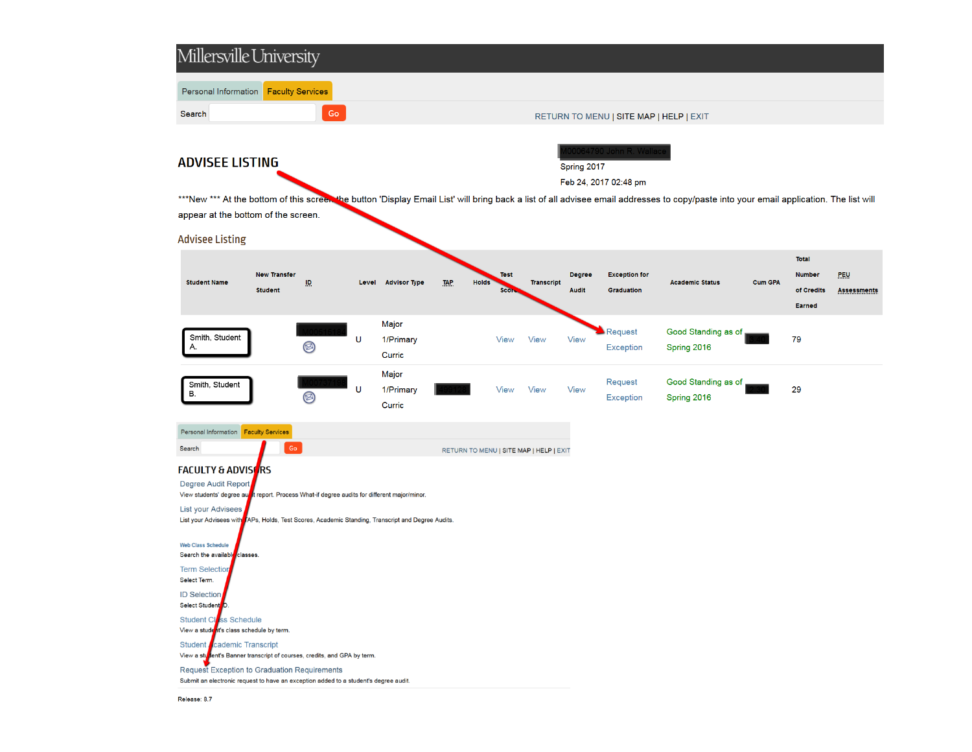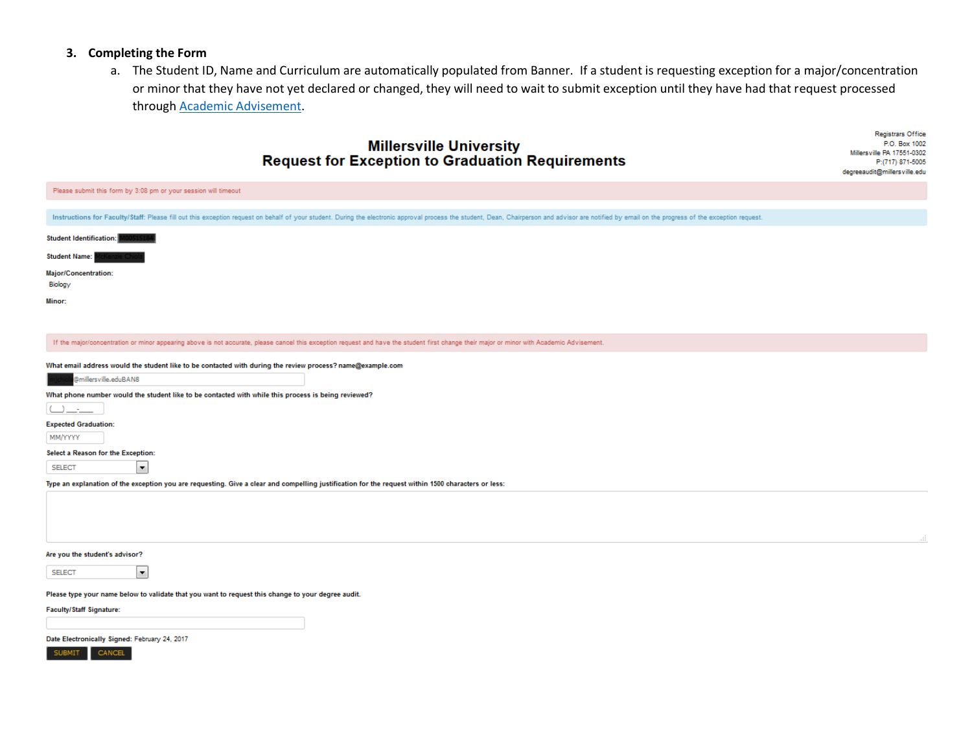#### <span id="page-3-0"></span>**3. Completing the Form**

a. The Student ID, Name and Curriculum are automatically populated from Banner. If a student is requesting exception for a major/concentration or minor that they have not yet declared or changed, they will need to wait to submit exception until they have had that request processed through [Academic Advisement.](http://www.millersville.edu/advisement/useful-links.php)

**Registrars Office** 

# **Millersville University** P.O. Box 1002 Millersville PA 17551-0302 **Request for Exception to Graduation Requirements** P:(717) 871-5005 degreeaudit@millersville.edu Please submit this form by 3:08 pm or your session will timeout Instructions for Faculty/Staff: Please fill out this exception request on behalf of your student. During the electronic approval process the student, Dean, Chairperson and advisor are notified by email on the progress of t Student Identification: **Student Name:** Major/Concentration: Biology Minor: If the major/concentration or minor appearing above is not accurate, please cancel this exception request and have the student first change their major or minor with Academic Advisement. What email address would the student like to be contacted with during the review process? name@example.com @millersville.eduBAN8 What phone number would the student like to be contacted with while this process is being reviewed?  $\cup$   $\bot$ **Expected Graduation:** MM/YYYYY Select a Reason for the Exception: **SELECT**  $\vert \cdot \vert$ Type an explanation of the exception you are requesting. Give a clear and compelling justification for the request within 1500 characters or less: Are you the student's advisor? **SELECT**  $\vert \cdot \vert$ Please type your name below to validate that you want to request this change to your degree audit. Faculty/Staff Signature:

Date Electronically Signed: February 24, 2017

SUBMIT CANCEL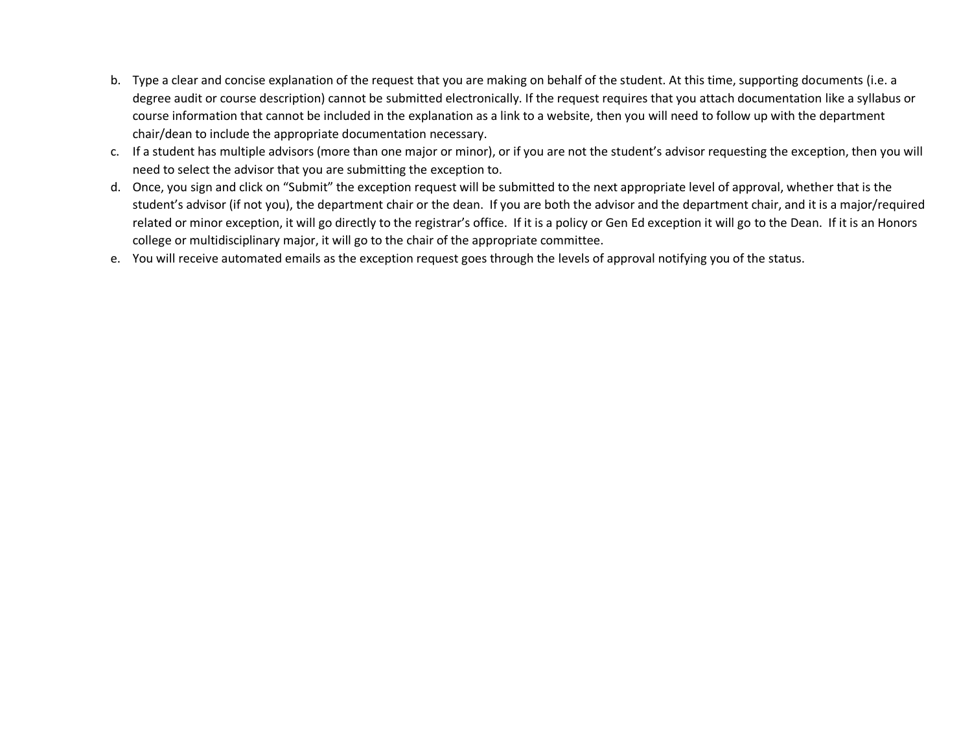- b. Type a clear and concise explanation of the request that you are making on behalf of the student. At this time, supporting documents (i.e. a degree audit or course description) cannot be submitted electronically. If the request requires that you attach documentation like a syllabus or course information that cannot be included in the explanation as a link to a website, then you will need to follow up with the department chair/dean to include the appropriate documentation necessary.
- c. If a student has multiple advisors (more than one major or minor), or if you are not the student's advisor requesting the exception, then you will need to select the advisor that you are submitting the exception to.
- d. Once, you sign and click on "Submit" the exception request will be submitted to the next appropriate level of approval, whether that is the student's advisor (if not you), the department chair or the dean. If you are both the advisor and the department chair, and it is a major/required related or minor exception, it will go directly to the registrar's office. If it is a policy or Gen Ed exception it will go to the Dean. If it is an Honors college or multidisciplinary major, it will go to the chair of the appropriate committee.
- e. You will receive automated emails as the exception request goes through the levels of approval notifying you of the status.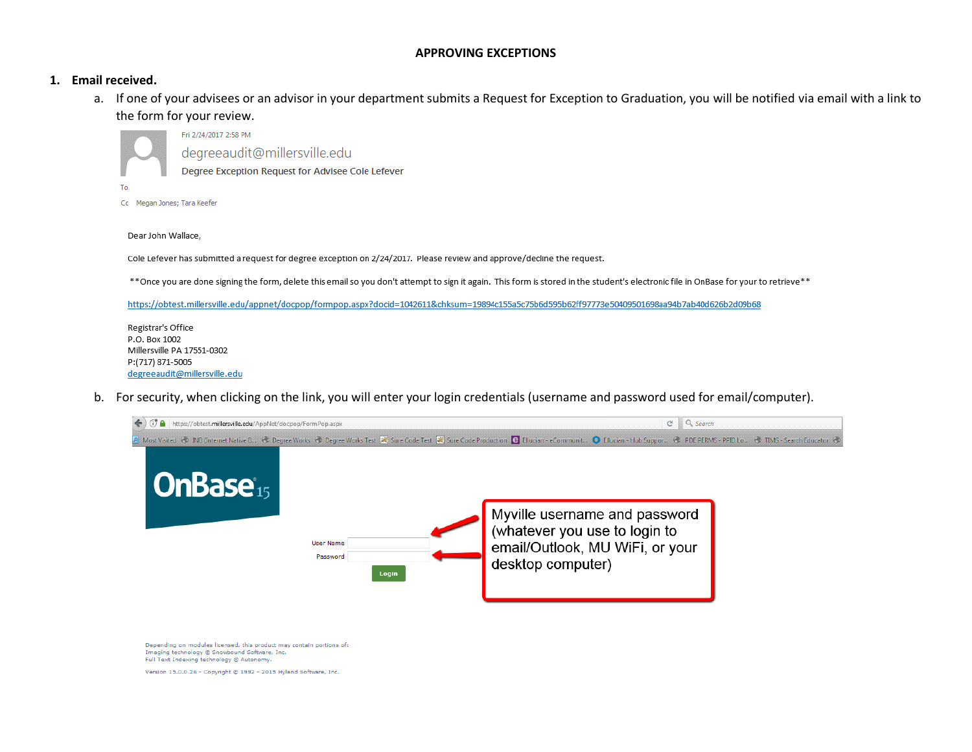#### **APPROVING EXCEPTIONS**

#### <span id="page-5-1"></span><span id="page-5-0"></span>**1. Email received.**

To

a. If one of your advisees or an advisor in your department submits a Request for Exception to Graduation, you will be notified via email with a link to the form for your review.

Fri 2/24/2017 2:58 PM degreeaudit@millersville.edu Degree Exception Request for Advisee Cole Lefever

Cc Megan Jones; Tara Keefer

Dear John Wallace,

Cole Lefever has submitted a request for degree exception on 2/24/2017. Please review and approve/decline the request.

\*\* Once you are done signing the form, delete this email so you don't attempt to sign it again. This form is stored in the student's electronic file in OnBase for your to retrieve\*\*

https://obtest.millersville.edu/appnet/docpop/formpop.aspx?docid=1042611&chksum=19894c155a5c75b6d595b62ff97773e50409501698aa94b7ab40d626b2d09b68

Registrar's Office P.O. Box 1002 Millersville PA 17551-0302 P:(717) 871-5005 degreeaudit@millersville.edu

b. For security, when clicking on the link, you will enter your login credentials (username and password used for email/computer).



Depending on modules licensed, this product may contain portions of: Imaging technology @ Snowbound Software, Inc. Full Text Indexing technology @ Autonomy.

Version 15.0.0.26 - Copyright @ 1992 - 2015 Hyland Software, Inc.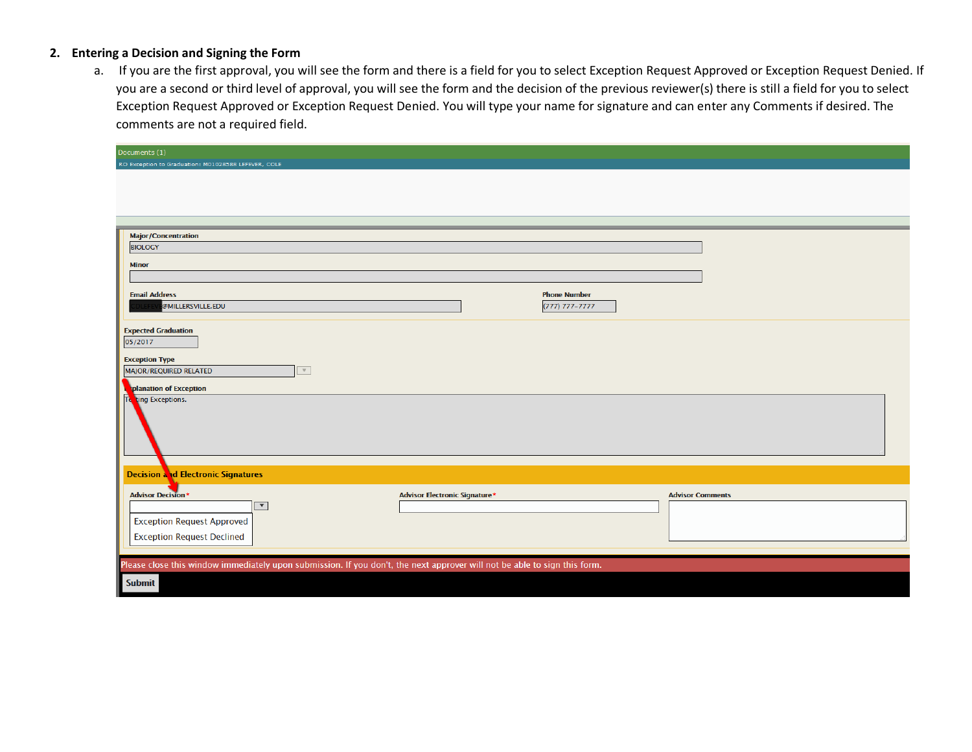## <span id="page-6-0"></span>**2. Entering a Decision and Signing the Form**

a. If you are the first approval, you will see the form and there is a field for you to select Exception Request Approved or Exception Request Denied. If you are a second or third level of approval, you will see the form and the decision of the previous reviewer(s) there is still a field for you to select Exception Request Approved or Exception Request Denied. You will type your name for signature and can enter any Comments if desired. The comments are not a required field.

| Documents (1)                                                                                                             |                                      |                     |                         |  |
|---------------------------------------------------------------------------------------------------------------------------|--------------------------------------|---------------------|-------------------------|--|
| RO Exception to Graduation: M01028588 LEFEVER, COLE                                                                       |                                      |                     |                         |  |
|                                                                                                                           |                                      |                     |                         |  |
|                                                                                                                           |                                      |                     |                         |  |
|                                                                                                                           |                                      |                     |                         |  |
|                                                                                                                           |                                      |                     |                         |  |
| <b>Major/Concentration</b>                                                                                                |                                      |                     |                         |  |
| <b>BIOLOGY</b>                                                                                                            |                                      |                     |                         |  |
|                                                                                                                           |                                      |                     |                         |  |
| <b>Minor</b>                                                                                                              |                                      |                     |                         |  |
|                                                                                                                           |                                      |                     |                         |  |
| <b>Email Address</b>                                                                                                      |                                      | <b>Phone Number</b> |                         |  |
| @MILLERSVILLE.EDU                                                                                                         |                                      | (777) 777-7777      |                         |  |
|                                                                                                                           |                                      |                     |                         |  |
| <b>Expected Graduation</b>                                                                                                |                                      |                     |                         |  |
| 05/2017                                                                                                                   |                                      |                     |                         |  |
| <b>Exception Type</b>                                                                                                     |                                      |                     |                         |  |
| $\mathbf{v}$<br>MAJOR/REQUIRED RELATED                                                                                    |                                      |                     |                         |  |
| planation of Exception                                                                                                    |                                      |                     |                         |  |
| ting Exceptions.                                                                                                          |                                      |                     |                         |  |
|                                                                                                                           |                                      |                     |                         |  |
|                                                                                                                           |                                      |                     |                         |  |
|                                                                                                                           |                                      |                     |                         |  |
|                                                                                                                           |                                      |                     |                         |  |
|                                                                                                                           |                                      |                     |                         |  |
| <b>Decision and Electronic Signatures</b>                                                                                 |                                      |                     |                         |  |
|                                                                                                                           |                                      |                     |                         |  |
| <b>Advisor Decision*</b>                                                                                                  | <b>Advisor Electronic Signature*</b> |                     | <b>Advisor Comments</b> |  |
| $\blacktriangledown$                                                                                                      |                                      |                     |                         |  |
| <b>Exception Request Approved</b>                                                                                         |                                      |                     |                         |  |
| <b>Exception Request Declined</b>                                                                                         |                                      |                     |                         |  |
|                                                                                                                           |                                      |                     |                         |  |
| Please close this window immediately upon submission. If you don't, the next approver will not be able to sign this form. |                                      |                     |                         |  |
|                                                                                                                           |                                      |                     |                         |  |
| Submit                                                                                                                    |                                      |                     |                         |  |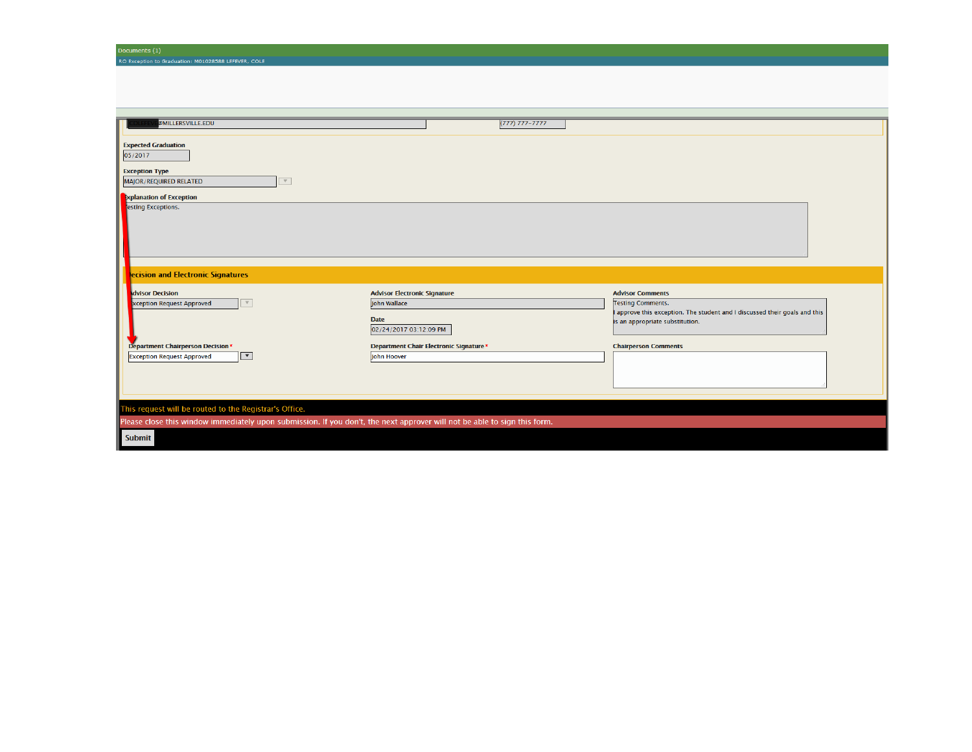| <b>@MILLERSVILLE.EDU</b>                                                                                                             | $(777) 777 - 7777$                     |                                                                                                      |  |  |
|--------------------------------------------------------------------------------------------------------------------------------------|----------------------------------------|------------------------------------------------------------------------------------------------------|--|--|
| <b>Expected Graduation</b><br>05/2017<br><b>Exception Type</b><br>MAJOR/REQUIRED RELATED<br>$\mathbf{v}$<br>Explanation of Exception |                                        |                                                                                                      |  |  |
| esting Exceptions.                                                                                                                   |                                        |                                                                                                      |  |  |
| ecision and Electronic Signatures                                                                                                    |                                        |                                                                                                      |  |  |
| dvisor Decision                                                                                                                      | <b>Advisor Electronic Signature</b>    | <b>Advisor Comments</b>                                                                              |  |  |
| xception Request Approved<br>$\mathbf{v}$                                                                                            | John Wallace                           | <b>Testing Comments.</b><br>approve this exception. The student and I discussed their goals and this |  |  |
|                                                                                                                                      | <b>Date</b><br>02/24/2017 03:12:09 PM  | is an appropriate substitution.                                                                      |  |  |
| Department Chairperson Decision*                                                                                                     | Department Chair Electronic Signature* | <b>Chairperson Comments</b>                                                                          |  |  |
| $\overline{\phantom{a}}$<br><b>Exception Request Approved</b>                                                                        | John Hoover                            |                                                                                                      |  |  |
|                                                                                                                                      |                                        |                                                                                                      |  |  |
| This request will be routed to the Registrar's Office.                                                                               |                                        |                                                                                                      |  |  |
| Please close this window immediately upon submission. If you don't, the next approver will not be able to sign this form.            |                                        |                                                                                                      |  |  |
| <b>Submit</b>                                                                                                                        |                                        |                                                                                                      |  |  |

Documents (1)<br>RO Exception to Graduation: M01028588 LEFEVER, COLE